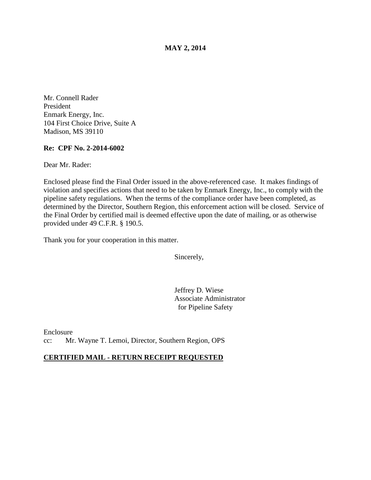**MAY 2, 2014** 

Mr. Connell Rader President Enmark Energy, Inc. 104 First Choice Drive, Suite A Madison, MS 39110

## **Re: CPF No. 2-2014-6002**

Dear Mr. Rader:

Enclosed please find the Final Order issued in the above-referenced case. It makes findings of violation and specifies actions that need to be taken by Enmark Energy, Inc., to comply with the pipeline safety regulations. When the terms of the compliance order have been completed, as determined by the Director, Southern Region, this enforcement action will be closed. Service of the Final Order by certified mail is deemed effective upon the date of mailing, or as otherwise provided under 49 C.F.R. § 190.5.

Thank you for your cooperation in this matter.

Sincerely,

Jeffrey D. Wiese Associate Administrator for Pipeline Safety

Enclosure cc: Mr. Wayne T. Lemoi, Director, Southern Region, OPS

## **CERTIFIED MAIL - RETURN RECEIPT REQUESTED**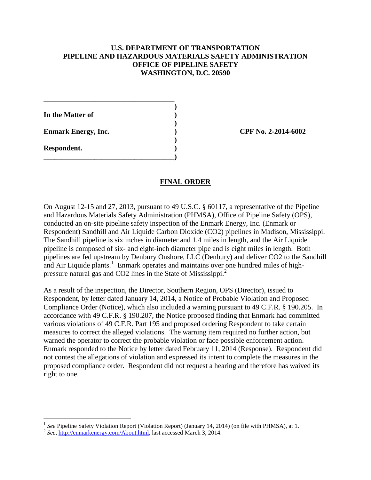# **U.S. DEPARTMENT OF TRANSPORTATION PIPELINE AND HAZARDOUS MATERIALS SAFETY ADMINISTRATION OFFICE OF PIPELINE SAFETY WASHINGTON, D.C. 20590**

 **) In the Matter of ) )** 

**\_\_\_\_\_\_\_\_\_\_\_\_\_\_\_\_\_\_\_\_\_\_\_\_\_\_\_\_\_\_\_\_\_\_\_\_** 

**\_\_\_\_\_\_\_\_\_\_\_\_\_\_\_\_\_\_\_\_\_\_\_\_\_\_\_\_\_\_\_\_\_\_\_\_)** 

**Enmark Energy, Inc.** (2014-6002)  **)** 

**Respondent. )** 

 $\overline{a}$ 

# **FINAL ORDER**

On August 12-15 and 27, 2013, pursuant to 49 U.S.C. § 60117, a representative of the Pipeline and Hazardous Materials Safety Administration (PHMSA), Office of Pipeline Safety (OPS), conducted an on-site pipeline safety inspection of the Enmark Energy, Inc. (Enmark or Respondent) Sandhill and Air Liquide Carbon Dioxide (CO2) pipelines in Madison, Mississippi. The Sandhill pipeline is six inches in diameter and 1.4 miles in length, and the Air Liquide pipeline is composed of six- and eight-inch diameter pipe and is eight miles in length. Both pipelines are fed upstream by Denbury Onshore, LLC (Denbury) and deliver CO2 to the Sandhill and Air Liquide plants.<sup>1</sup> Enmark operates and maintains over one hundred miles of highpressure natural gas and CO2 lines in the State of Mississippi.<sup>2</sup>

As a result of the inspection, the Director, Southern Region, OPS (Director), issued to Respondent, by letter dated January 14, 2014, a Notice of Probable Violation and Proposed Compliance Order (Notice), which also included a warning pursuant to 49 C.F.R. § 190.205. In accordance with 49 C.F.R. § 190.207, the Notice proposed finding that Enmark had committed various violations of 49 C.F.R. Part 195 and proposed ordering Respondent to take certain measures to correct the alleged violations. The warning item required no further action, but warned the operator to correct the probable violation or face possible enforcement action. Enmark responded to the Notice by letter dated February 11, 2014 (Response). Respondent did not contest the allegations of violation and expressed its intent to complete the measures in the proposed compliance order. Respondent did not request a hearing and therefore has waived its right to one.

<sup>&</sup>lt;sup>1</sup> *See* Pipeline Safety Violation Report (Violation Report) (January 14, 2014) (on file with PHMSA), at 1. <sup>2</sup> *See*, http://enmarkenergy.com/About.html, last accessed March 3, 2014.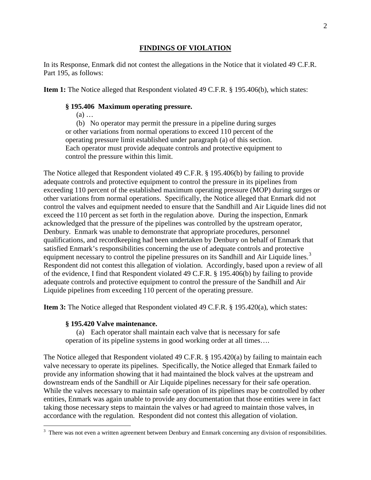### **FINDINGS OF VIOLATION**

In its Response, Enmark did not contest the allegations in the Notice that it violated 49 C.F.R. Part 195, as follows:

**Item 1:** The Notice alleged that Respondent violated 49 C.F.R. § 195.406(b), which states:

### **§ 195.406 Maximum operating pressure.**

(a) …

(b) No operator may permit the pressure in a pipeline during surges or other variations from normal operations to exceed 110 percent of the operating pressure limit established under paragraph (a) of this section. Each operator must provide adequate controls and protective equipment to control the pressure within this limit.

The Notice alleged that Respondent violated 49 C.F.R. § 195.406(b) by failing to provide adequate controls and protective equipment to control the pressure in its pipelines from exceeding 110 percent of the established maximum operating pressure (MOP) during surges or other variations from normal operations. Specifically, the Notice alleged that Enmark did not control the valves and equipment needed to ensure that the Sandhill and Air Liquide lines did not exceed the 110 percent as set forth in the regulation above. During the inspection, Enmark acknowledged that the pressure of the pipelines was controlled by the upstream operator, Denbury. Enmark was unable to demonstrate that appropriate procedures, personnel qualifications, and recordkeeping had been undertaken by Denbury on behalf of Enmark that satisfied Enmark's responsibilities concerning the use of adequate controls and protective equipment necessary to control the pipeline pressures on its Sandhill and Air Liquide lines.<sup>3</sup> Respondent did not contest this allegation of violation. Accordingly, based upon a review of all of the evidence, I find that Respondent violated 49 C.F.R. § 195.406(b) by failing to provide adequate controls and protective equipment to control the pressure of the Sandhill and Air Liquide pipelines from exceeding 110 percent of the operating pressure.

**Item 3:** The Notice alleged that Respondent violated 49 C.F.R. § 195.420(a), which states:

#### **§ 195.420 Valve maintenance.**

 $\overline{a}$ 

(a) Each operator shall maintain each valve that is necessary for safe operation of its pipeline systems in good working order at all times….

The Notice alleged that Respondent violated 49 C.F.R. § 195.420(a) by failing to maintain each valve necessary to operate its pipelines. Specifically, the Notice alleged that Enmark failed to provide any information showing that it had maintained the block valves at the upstream and downstream ends of the Sandhill or Air Liquide pipelines necessary for their safe operation. While the valves necessary to maintain safe operation of its pipelines may be controlled by other entities, Enmark was again unable to provide any documentation that those entities were in fact taking those necessary steps to maintain the valves or had agreed to maintain those valves, in accordance with the regulation. Respondent did not contest this allegation of violation.

 $3$  There was not even a written agreement between Denbury and Enmark concerning any division of responsibilities.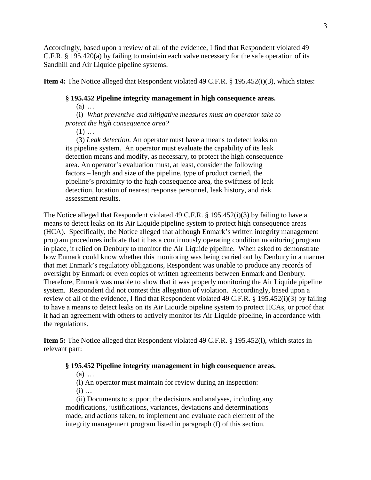Accordingly, based upon a review of all of the evidence, I find that Respondent violated 49 C.F.R. § 195.420(a) by failing to maintain each valve necessary for the safe operation of its Sandhill and Air Liquide pipeline systems.

**Item 4:** The Notice alleged that Respondent violated 49 C.F.R. § 195.452(i)(3), which states:

### **§ 195.452 Pipeline integrity management in high consequence areas.**

(a) …

(i) *What preventive and mitigative measures must an operator take to protect the high consequence area?*

 $(1)$  ...

(3) *Leak detection*. An operator must have a means to detect leaks on its pipeline system. An operator must evaluate the capability of its leak detection means and modify, as necessary, to protect the high consequence area. An operator's evaluation must, at least, consider the following factors – length and size of the pipeline, type of product carried, the pipeline's proximity to the high consequence area, the swiftness of leak detection, location of nearest response personnel, leak history, and risk assessment results.

The Notice alleged that Respondent violated 49 C.F.R. § 195.452(i)(3) by failing to have a means to detect leaks on its Air Liquide pipeline system to protect high consequence areas (HCA). Specifically, the Notice alleged that although Enmark's written integrity management program procedures indicate that it has a continuously operating condition monitoring program in place, it relied on Denbury to monitor the Air Liquide pipeline. When asked to demonstrate how Enmark could know whether this monitoring was being carried out by Denbury in a manner that met Enmark's regulatory obligations, Respondent was unable to produce any records of oversight by Enmark or even copies of written agreements between Enmark and Denbury. Therefore, Enmark was unable to show that it was properly monitoring the Air Liquide pipeline system. Respondent did not contest this allegation of violation. Accordingly, based upon a review of all of the evidence, I find that Respondent violated 49 C.F.R. § 195.452(i)(3) by failing to have a means to detect leaks on its Air Liquide pipeline system to protect HCAs, or proof that it had an agreement with others to actively monitor its Air Liquide pipeline, in accordance with the regulations.

**Item 5:** The Notice alleged that Respondent violated 49 C.F.R. § 195.452(l), which states in relevant part:

#### **§ 195.452 Pipeline integrity management in high consequence areas.**

(a) …

(l) An operator must maintain for review during an inspection:

 $(i)$  ...

(ii) Documents to support the decisions and analyses, including any modifications, justifications, variances, deviations and determinations made, and actions taken, to implement and evaluate each element of the integrity management program listed in paragraph (f) of this section.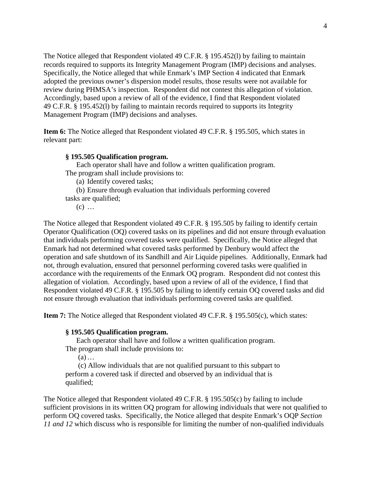The Notice alleged that Respondent violated 49 C.F.R. § 195.452(l) by failing to maintain records required to supports its Integrity Management Program (IMP) decisions and analyses. Specifically, the Notice alleged that while Enmark's IMP Section 4 indicated that Enmark adopted the previous owner's dispersion model results, those results were not available for review during PHMSA's inspection. Respondent did not contest this allegation of violation. Accordingly, based upon a review of all of the evidence, I find that Respondent violated 49 C.F.R. § 195.452(l) by failing to maintain records required to supports its Integrity Management Program (IMP) decisions and analyses.

**Item 6:** The Notice alleged that Respondent violated 49 C.F.R. § 195.505, which states in relevant part:

#### **§ 195.505 Qualification program.**

Each operator shall have and follow a written qualification program. The program shall include provisions to:

(a) Identify covered tasks;

(b) Ensure through evaluation that individuals performing covered tasks are qualified;

 $(c)$  ...

The Notice alleged that Respondent violated 49 C.F.R. § 195.505 by failing to identify certain Operator Qualification (OQ) covered tasks on its pipelines and did not ensure through evaluation that individuals performing covered tasks were qualified. Specifically, the Notice alleged that Enmark had not determined what covered tasks performed by Denbury would affect the operation and safe shutdown of its Sandhill and Air Liquide pipelines. Additionally, Enmark had not, through evaluation, ensured that personnel performing covered tasks were qualified in accordance with the requirements of the Enmark OQ program. Respondent did not contest this allegation of violation. Accordingly, based upon a review of all of the evidence, I find that Respondent violated 49 C.F.R. § 195.505 by failing to identify certain OQ covered tasks and did not ensure through evaluation that individuals performing covered tasks are qualified.

**Item 7:** The Notice alleged that Respondent violated 49 C.F.R. § 195.505(c), which states:

#### **§ 195.505 Qualification program.**

Each operator shall have and follow a written qualification program.

The program shall include provisions to:

(a)…

(c) Allow individuals that are not qualified pursuant to this subpart to perform a covered task if directed and observed by an individual that is qualified;

The Notice alleged that Respondent violated 49 C.F.R. § 195.505(c) by failing to include sufficient provisions in its written OQ program for allowing individuals that were not qualified to perform OQ covered tasks. Specifically, the Notice alleged that despite Enmark's OQP *Section 11 and 12* which discuss who is responsible for limiting the number of non-qualified individuals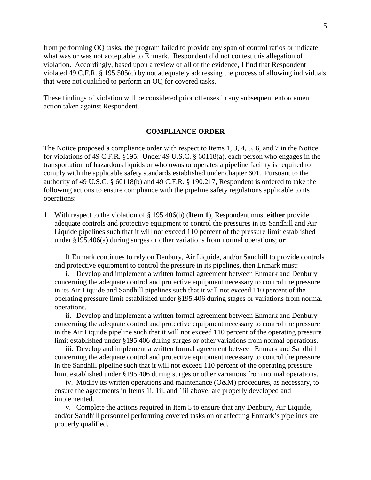from performing OQ tasks, the program failed to provide any span of control ratios or indicate what was or was not acceptable to Enmark. Respondent did not contest this allegation of violation. Accordingly, based upon a review of all of the evidence, I find that Respondent violated 49 C.F.R. § 195.505(c) by not adequately addressing the process of allowing individuals that were not qualified to perform an OQ for covered tasks.

These findings of violation will be considered prior offenses in any subsequent enforcement action taken against Respondent.

#### **COMPLIANCE ORDER**

The Notice proposed a compliance order with respect to Items 1, 3, 4, 5, 6, and 7 in the Notice for violations of 49 C.F.R. §195. Under 49 U.S.C. § 60118(a), each person who engages in the transportation of hazardous liquids or who owns or operates a pipeline facility is required to comply with the applicable safety standards established under chapter 601. Pursuant to the authority of 49 U.S.C. § 60118(b) and 49 C.F.R. § 190.217, Respondent is ordered to take the following actions to ensure compliance with the pipeline safety regulations applicable to its operations:

1. With respect to the violation of § 195.406(b) (**Item 1**), Respondent must **either** provide adequate controls and protective equipment to control the pressures in its Sandhill and Air Liquide pipelines such that it will not exceed 110 percent of the pressure limit established under §195.406(a) during surges or other variations from normal operations; **or**

If Enmark continues to rely on Denbury, Air Liquide, and/or Sandhill to provide controls and protective equipment to control the pressure in its pipelines, then Enmark must:

i. Develop and implement a written formal agreement between Enmark and Denbury concerning the adequate control and protective equipment necessary to control the pressure in its Air Liquide and Sandhill pipelines such that it will not exceed 110 percent of the operating pressure limit established under §195.406 during stages or variations from normal operations.

ii. Develop and implement a written formal agreement between Enmark and Denbury concerning the adequate control and protective equipment necessary to control the pressure in the Air Liquide pipeline such that it will not exceed 110 percent of the operating pressure limit established under §195.406 during surges or other variations from normal operations.

iii. Develop and implement a written formal agreement between Enmark and Sandhill concerning the adequate control and protective equipment necessary to control the pressure in the Sandhill pipeline such that it will not exceed 110 percent of the operating pressure limit established under §195.406 during surges or other variations from normal operations.

iv. Modify its written operations and maintenance (O&M) procedures, as necessary, to ensure the agreements in Items 1i, 1ii, and 1iii above, are properly developed and implemented.

v. Complete the actions required in Item 5 to ensure that any Denbury, Air Liquide, and/or Sandhill personnel performing covered tasks on or affecting Enmark's pipelines are properly qualified.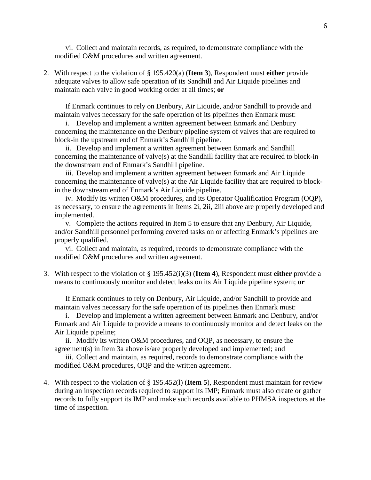vi. Collect and maintain records, as required, to demonstrate compliance with the modified O&M procedures and written agreement.

2. With respect to the violation of § 195.420(a) (**Item 3**), Respondent must **either** provide adequate valves to allow safe operation of its Sandhill and Air Liquide pipelines and maintain each valve in good working order at all times; **or**

If Enmark continues to rely on Denbury, Air Liquide, and/or Sandhill to provide and maintain valves necessary for the safe operation of its pipelines then Enmark must:

i. Develop and implement a written agreement between Enmark and Denbury concerning the maintenance on the Denbury pipeline system of valves that are required to block-in the upstream end of Enmark's Sandhill pipeline.

ii. Develop and implement a written agreement between Enmark and Sandhill concerning the maintenance of valve(s) at the Sandhill facility that are required to block-in the downstream end of Enmark's Sandhill pipeline.

iii. Develop and implement a written agreement between Enmark and Air Liquide concerning the maintenance of valve(s) at the Air Liquide facility that are required to blockin the downstream end of Enmark's Air Liquide pipeline.

iv. Modify its written O&M procedures, and its Operator Qualification Program (OQP), as necessary, to ensure the agreements in Items 2i, 2ii, 2iii above are properly developed and implemented.

v. Complete the actions required in Item 5 to ensure that any Denbury, Air Liquide, and/or Sandhill personnel performing covered tasks on or affecting Enmark's pipelines are properly qualified.

vi. Collect and maintain, as required, records to demonstrate compliance with the modified O&M procedures and written agreement.

3. With respect to the violation of § 195.452(i)(3) (**Item 4**), Respondent must **either** provide a means to continuously monitor and detect leaks on its Air Liquide pipeline system; **or**

If Enmark continues to rely on Denbury, Air Liquide, and/or Sandhill to provide and maintain valves necessary for the safe operation of its pipelines then Enmark must:

i. Develop and implement a written agreement between Enmark and Denbury, and/or Enmark and Air Liquide to provide a means to continuously monitor and detect leaks on the Air Liquide pipeline;

ii. Modify its written O&M procedures, and OQP, as necessary, to ensure the agreement(s) in Item 3a above is/are properly developed and implemented; and

iii. Collect and maintain, as required, records to demonstrate compliance with the modified O&M procedures, OQP and the written agreement.

4. With respect to the violation of § 195.452(l) (**Item 5**), Respondent must maintain for review during an inspection records required to support its IMP; Enmark must also create or gather records to fully support its IMP and make such records available to PHMSA inspectors at the time of inspection.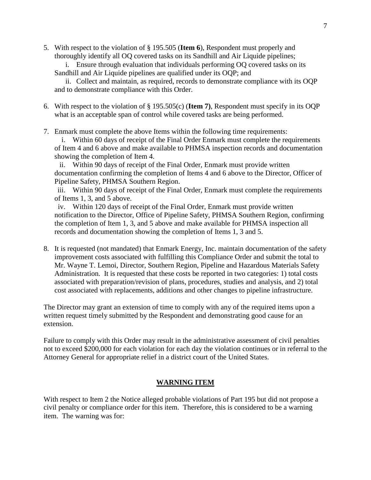5. With respect to the violation of § 195.505 (**Item 6**), Respondent must properly and thoroughly identify all OQ covered tasks on its Sandhill and Air Liquide pipelines;

i. Ensure through evaluation that individuals performing OQ covered tasks on its Sandhill and Air Liquide pipelines are qualified under its OQP; and

ii. Collect and maintain, as required, records to demonstrate compliance with its OQP and to demonstrate compliance with this Order.

- 6. With respect to the violation of § 195.505(c) (**Item 7)**, Respondent must specify in its OQP what is an acceptable span of control while covered tasks are being performed.
- 7. Enmark must complete the above Items within the following time requirements:

i. Within 60 days of receipt of the Final Order Enmark must complete the requirements of Item 4 and 6 above and make available to PHMSA inspection records and documentation showing the completion of Item 4.

ii. Within 90 days of receipt of the Final Order, Enmark must provide written documentation confirming the completion of Items 4 and 6 above to the Director, Officer of Pipeline Safety, PHMSA Southern Region.

iii. Within 90 days of receipt of the Final Order, Enmark must complete the requirements of Items 1, 3, and 5 above.

iv. Within 120 days of receipt of the Final Order, Enmark must provide written notification to the Director, Office of Pipeline Safety, PHMSA Southern Region, confirming the completion of Item 1, 3, and 5 above and make available for PHMSA inspection all records and documentation showing the completion of Items 1, 3 and 5.

8. It is requested (not mandated) that Enmark Energy, Inc. maintain documentation of the safety improvement costs associated with fulfilling this Compliance Order and submit the total to Mr. Wayne T. Lemoi, Director, Southern Region, Pipeline and Hazardous Materials Safety Administration. It is requested that these costs be reported in two categories: 1) total costs associated with preparation/revision of plans, procedures, studies and analysis, and 2) total cost associated with replacements, additions and other changes to pipeline infrastructure.

The Director may grant an extension of time to comply with any of the required items upon a written request timely submitted by the Respondent and demonstrating good cause for an extension.

Failure to comply with this Order may result in the administrative assessment of civil penalties not to exceed \$200,000 for each violation for each day the violation continues or in referral to the Attorney General for appropriate relief in a district court of the United States.

# **WARNING ITEM**

With respect to Item 2 the Notice alleged probable violations of Part 195 but did not propose a civil penalty or compliance order for this item. Therefore, this is considered to be a warning item. The warning was for: